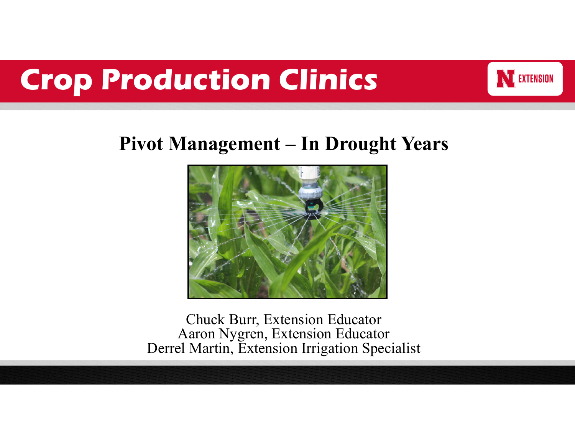

### **Pivot Management – In Drought Years**



Chuck Burr, Extension Educator Aaron Nygren, Extension Educator Derrel Martin, Extension Irrigation Specialist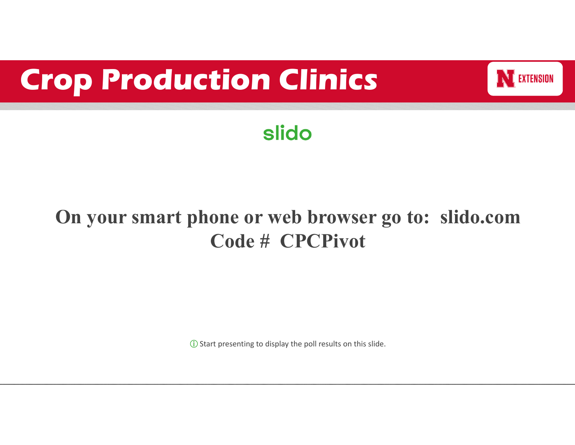

### **slido**

### **On your smart phone or web browser go to: slido.com Code # CPCPivot**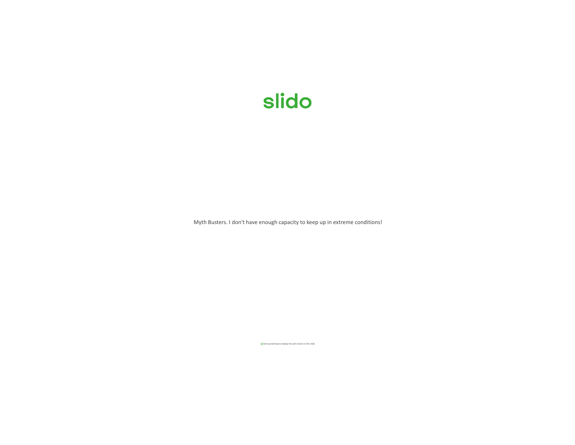Myth Busters. I don't have enough capacity to keep up in extreme conditions!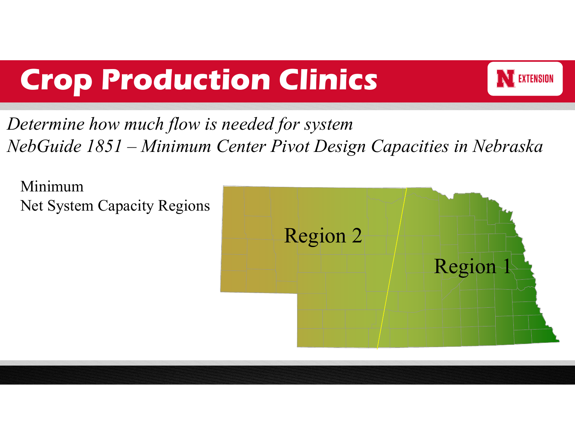

*Determine how much flow is needed for system NebGuide 1851 – Minimum Center Pivot Design Capacities in Nebraska*

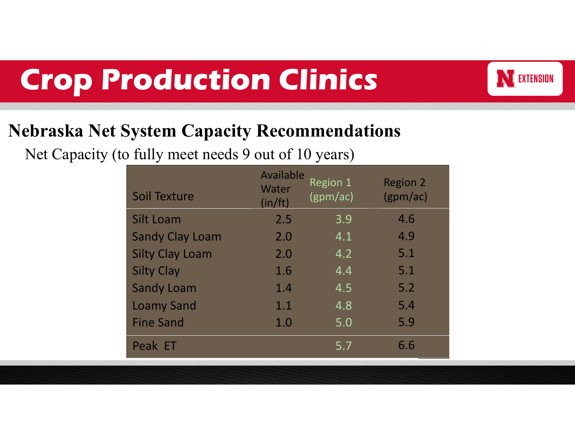

### **Nebraska Net System Capacity Recommendations**

Net Capacity (to fully meet needs 9 out of 10 years)

| <b>Soil Texture</b>    | Available<br>Water<br>(in/ft) | Region 1<br>(gpm/ac) | <b>Region 2</b><br>(gpm/ac) |
|------------------------|-------------------------------|----------------------|-----------------------------|
| <b>Silt Loam</b>       | 2.5                           | 3.9                  | 4.6                         |
| <b>Sandy Clay Loam</b> | 2.0                           | 4.1                  | 4.9                         |
| <b>Silty Clay Loam</b> | 2.0                           | 4.2                  | 5.1                         |
| <b>Silty Clay</b>      | 1.6                           | 4.4                  | 5.1                         |
| <b>Sandy Loam</b>      | 1.4                           | 4.5                  | 5.2                         |
| <b>Loamy Sand</b>      | 1.1                           | 4.8                  | 5.4                         |
| <b>Fine Sand</b>       | 1.0                           | 5.0                  | 5.9                         |
| Peak ET                |                               | 5.7                  | 6.6                         |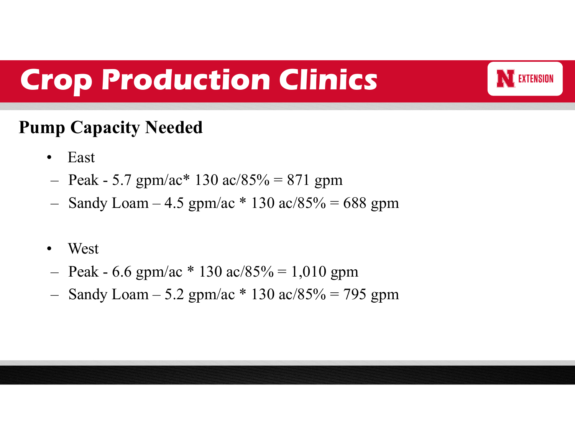

#### **Pump Capacity Needed**

- $\bullet$ East
- Peak 5.7 gpm/ac\* 130 ac/85% = 871 gpm
- –Sandy Loam – 4.5 gpm/ac  $*$  130 ac/85% = 688 gpm
- •West
- Peak 6.6 gpm/ac \* 130 ac/85% = 1,010 gpm
- –Sandy Loam – 5.2 gpm/ac  $*$  130 ac/85% = 795 gpm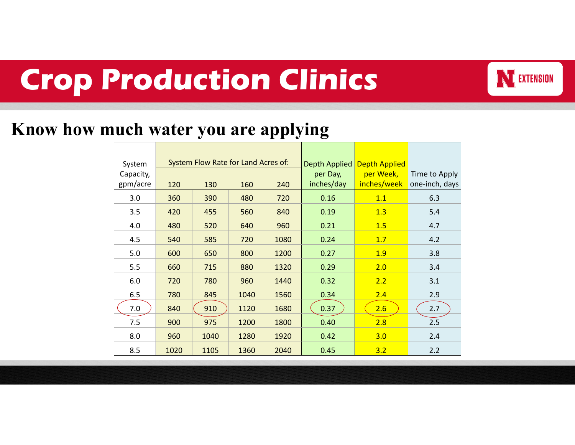

#### **Know how much water you are applying**

| System<br>Capacity,<br>gpm/acre | System Flow Rate for Land Acres of:<br>120<br>130<br>160<br>240 |      |      | Depth Applied<br>per Day,<br>inches/day | <b>Depth Applied</b><br>per Week,<br>inches/week | Time to Apply<br>one-inch, days |     |
|---------------------------------|-----------------------------------------------------------------|------|------|-----------------------------------------|--------------------------------------------------|---------------------------------|-----|
| 3.0                             | 360                                                             | 390  | 480  | 720                                     | 0.16                                             | 1.1                             | 6.3 |
| 3.5                             | 420                                                             | 455  | 560  | 840                                     | 0.19                                             | 1.3                             | 5.4 |
| 4.0                             | 480                                                             | 520  | 640  | 960                                     | 0.21                                             | 1.5                             | 4.7 |
| 4.5                             | 540                                                             | 585  | 720  | 1080                                    | 0.24                                             | 1.7                             | 4.2 |
| 5.0                             | 600                                                             | 650  | 800  | 1200                                    | 0.27                                             | 1.9                             | 3.8 |
| 5.5                             | 660                                                             | 715  | 880  | 1320                                    | 0.29                                             | 2.0                             | 3.4 |
| 6.0                             | 720                                                             | 780  | 960  | 1440                                    | 0.32                                             | 2.2                             | 3.1 |
| 6.5                             | 780                                                             | 845  | 1040 | 1560                                    | 0.34                                             | 2.4                             | 2.9 |
| 7.0                             | 840                                                             | 910  | 1120 | 1680                                    | 0.37                                             | 2.6                             | 2.7 |
| 7.5                             | 900                                                             | 975  | 1200 | 1800                                    | 0.40                                             | 2.8                             | 2.5 |
| 8.0                             | 960                                                             | 1040 | 1280 | 1920                                    | 0.42                                             | 3.0                             | 2.4 |
| 8.5                             | 1020                                                            | 1105 | 1360 | 2040                                    | 0.45                                             | 3.2                             | 2.2 |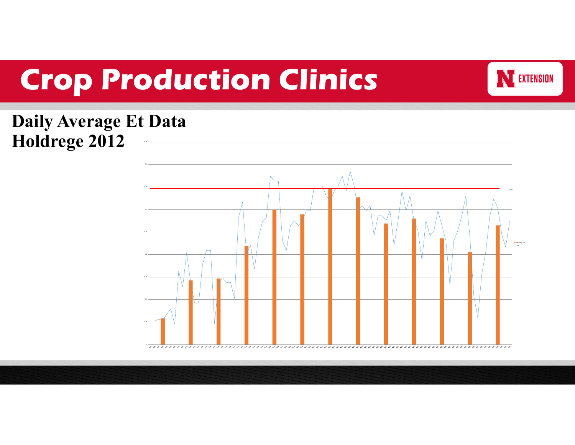

#### **Daily Average Et Data Holdrege 2012**

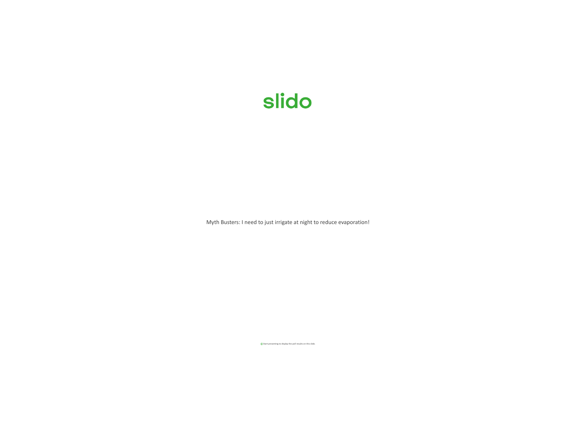Myth Busters: I need to just irrigate at night to reduce evaporation!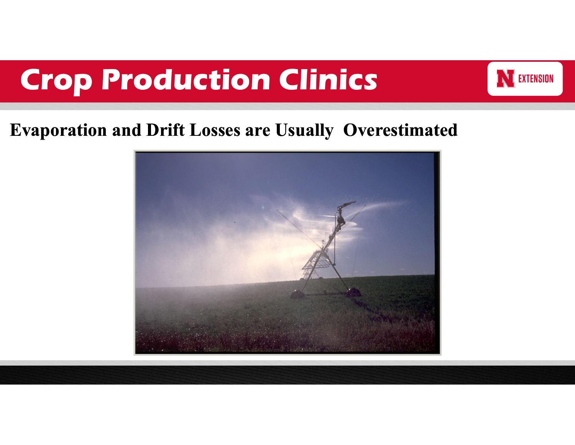

#### **Evaporation and Drift Losses are Usually Overestimated**

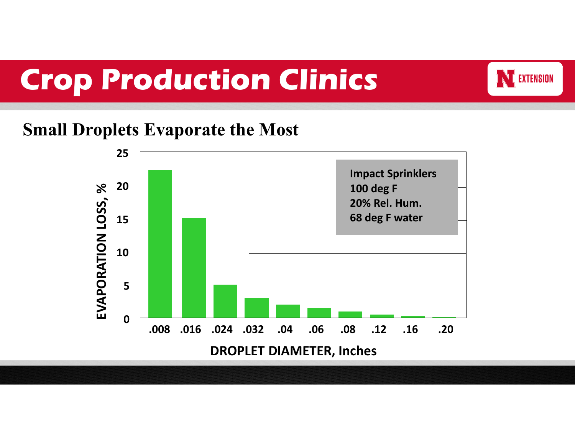

#### **Small Droplets Evaporate the Most**

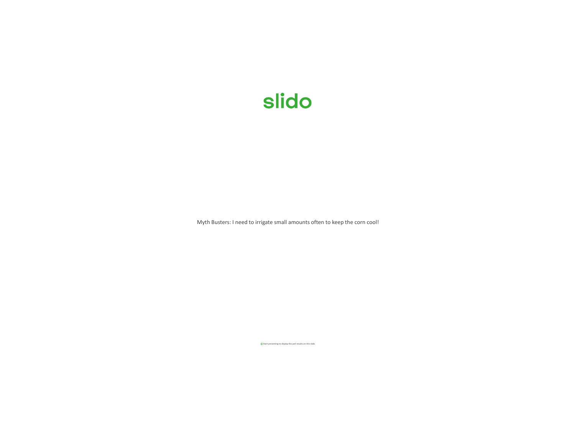Myth Busters: I need to irrigate small amounts often to keep the corn cool!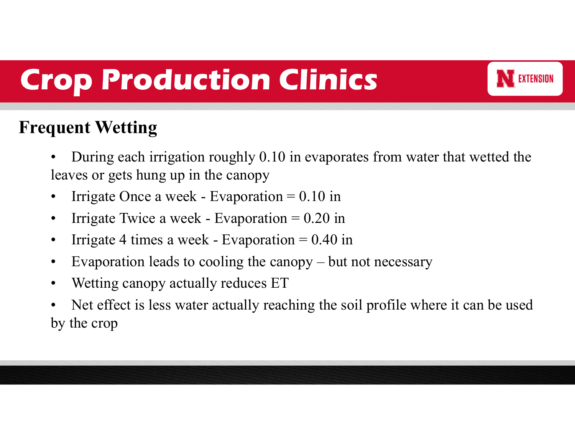

### **Frequent Wetting**

- • During each irrigation roughly 0.10 in evaporates from water that wetted the leaves or gets hung up in the canopy
- •Irrigate Once a week - Evaporation  $= 0.10$  in
- •Irrigate Twice a week - Evaporation  $= 0.20$  in
- •Irrigate 4 times a week - Evaporation  $= 0.40$  in
- •Evaporation leads to cooling the canopy – but not necessary
- •Wetting canopy actually reduces ET
- • Net effect is less water actually reaching the soil profile where it can be used by the crop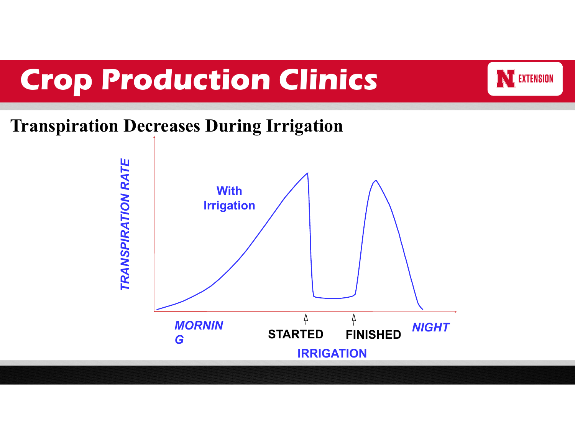

#### **Transpiration Decreases During Irrigation**

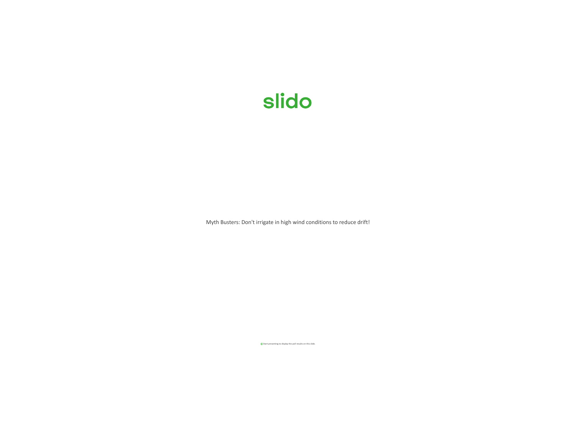Myth Busters: Don't irrigate in high wind conditions to reduce drift!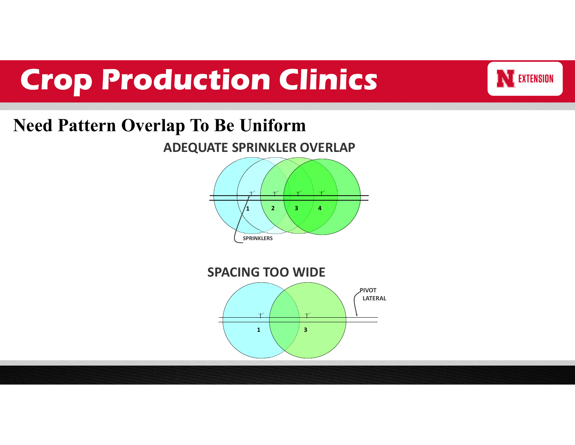### **Need Pattern Overlap To Be Uniform**



**NE EXTENSION** 

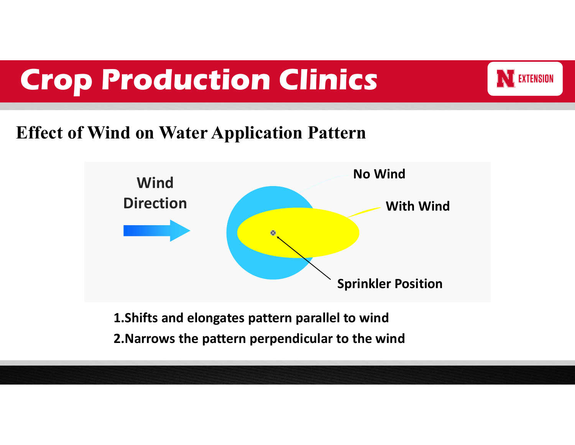

### **Effect of Wind on Water Application Pattern**



**1.Shifts and elongates pattern parallel to wind 2.Narrows the pattern perpendicular to the wind**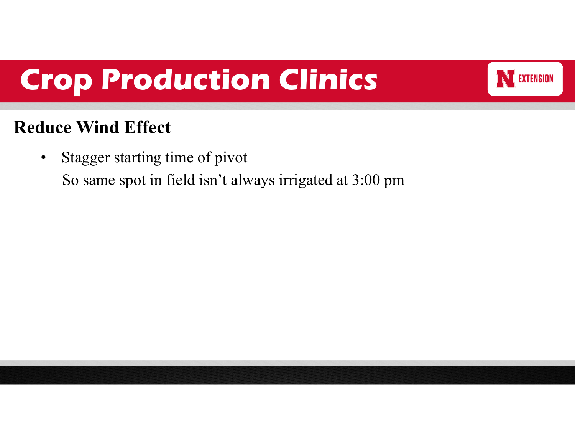

### **Reduce Wind Effect**

- $\bullet$ Stagger starting time of pivot
- –So same spot in field isn't always irrigated at 3:00 pm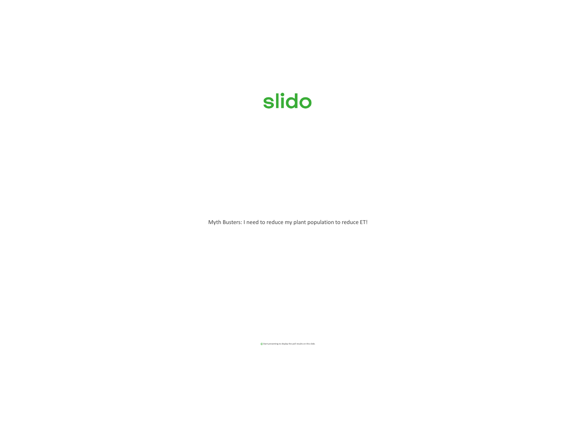Myth Busters: I need to reduce my plant population to reduce ET!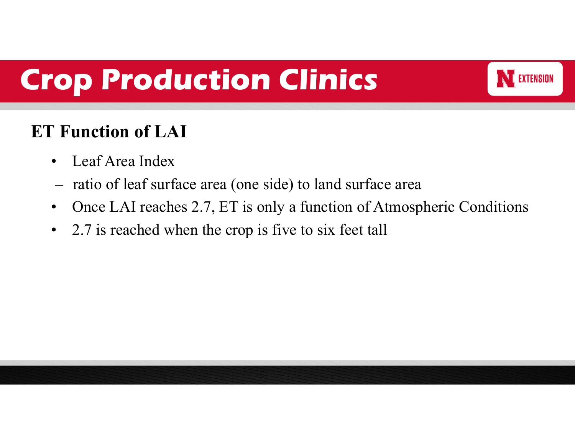

### **ET Function of LAI**

- $\bullet$ Leaf Area Index
- ratio of leaf surface area (one side) to land surface area
- $\bullet$ Once LAI reaches 2.7, ET is only a function of Atmospheric Conditions
- $\bullet$ 2.7 is reached when the crop is five to six feet tall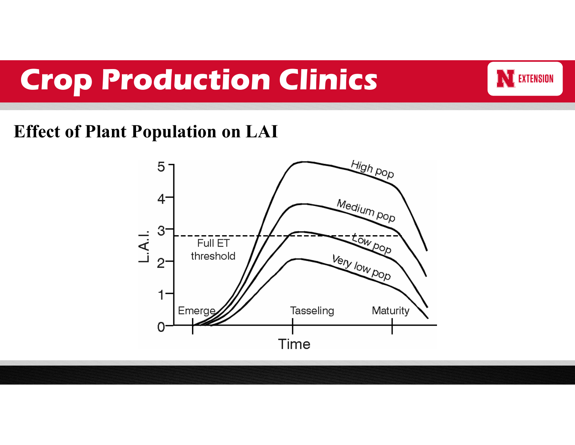

#### **Effect of Plant Population on LAI**

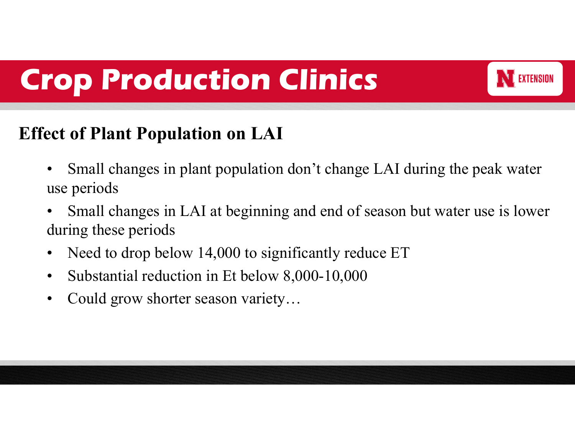

### **Effect of Plant Population on LAI**

- • Small changes in plant population don't change LAI during the peak water use periods
- • Small changes in LAI at beginning and end of season but water use is lower during these periods
- $\bullet$ Need to drop below 14,000 to significantly reduce ET
- •Substantial reduction in Et below 8,000-10,000
- •Could grow shorter season variety…